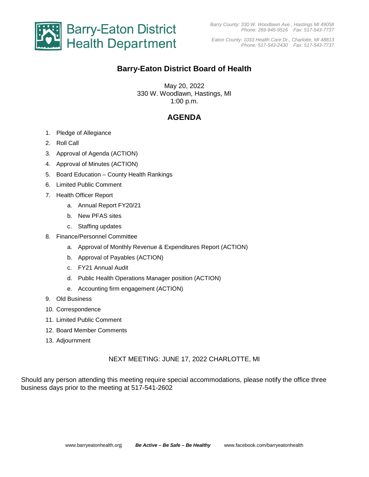

*Barry County: 330 W. Woodlawn Ave., Hastings MI 49058 Phone: 269-945-9516 Fax: 517-543-7737*

*Eaton County: 1033 Health Care Dr., Charlotte, MI 48813 Phone: 517-543-2430 Fax: 517-543-7737*

# **Barry-Eaton District Board of Health**

May 20, 2022 330 W. Woodlawn, Hastings, MI 1:00 p.m.

## **AGENDA**

- 1. Pledge of Allegiance
- 2. Roll Call
- 3. Approval of Agenda (ACTION)
- 4. Approval of Minutes (ACTION)
- 5. Board Education County Health Rankings
- 6. Limited Public Comment
- 7. Health Officer Report
	- a. Annual Report FY20/21
	- b. New PFAS sites
	- c. Staffing updates
- 8. Finance/Personnel Committee
	- a. Approval of Monthly Revenue & Expenditures Report (ACTION)
	- b. Approval of Payables (ACTION)
	- c. FY21 Annual Audit
	- d. Public Health Operations Manager position (ACTION)
	- e. Accounting firm engagement (ACTION)
- 9. Old Business
- 10. Correspondence
- 11. Limited Public Comment
- 12. Board Member Comments
- 13. Adjournment

#### NEXT MEETING: JUNE 17, 2022 CHARLOTTE, MI

Should any person attending this meeting require special accommodations, please notify the office three business days prior to the meeting at 517-541-2602